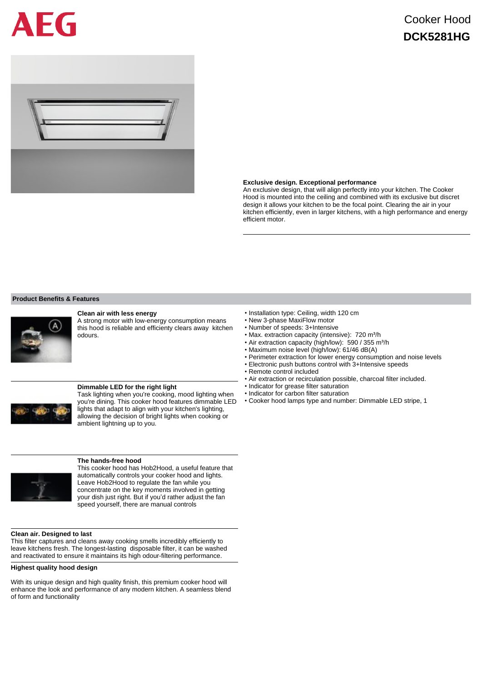# FG

# Cooker Hood **DCK5281HG**



## **Exclusive design. Exceptional performance**

An exclusive design, that will align perfectly into your kitchen. The Cooker Hood is mounted into the ceiling and combined with its exclusive but discret design it allows your kitchen to be the focal point. Clearing the air in your kitchen efficiently, even in larger kitchens, with a high performance and energy efficient motor.

## **Product Benefits & Features**



# **Clean air with less energy**

A strong motor with low-energy consumption means this hood is reliable and efficienty clears away kitchen odours.



# **Dimmable LED for the right light**

Task lighting when you're cooking, mood lighting when you're dining. This cooker hood features dimmable LED lights that adapt to align with your kitchen's lighting, allowing the decision of bright lights when cooking or ambient lightning up to you.



#### **The hands-free hood**

This cooker hood has Hob2Hood, a useful feature that automatically controls your cooker hood and lights. Leave Hob2Hood to regulate the fan while you concentrate on the key moments involved in getting your dish just right. But if you'd rather adjust the fan speed yourself, there are manual controls

## **Clean air. Designed to last**

This filter captures and cleans away cooking smells incredibly efficiently to leave kitchens fresh. The longest-lasting disposable filter, it can be washed and reactivated to ensure it maintains its high odour-filtering performance.

## **Highest quality hood design**

With its unique design and high quality finish, this premium cooker hood will enhance the look and performance of any modern kitchen. A seamless blend of form and functionality

- Installation type: Ceiling, width 120 cm
- New 3-phase MaxiFlow motor
- Number of speeds: 3+Intensive
- Max. extraction capacity (intensive): 720 m<sup>3</sup>/h
- Air extraction capacity (high/low): 590 / 355 m<sup>3</sup>/h
- Maximum noise level (high/low): 61/46 dB(A)
- Perimeter extraction for lower energy consumption and noise levels
- Electronic push buttons control with 3+Intensive speeds
- Remote control included
- Air extraction or recirculation possible, charcoal filter included.
- Indicator for grease filter saturation
- Indicator for carbon filter saturation
- Cooker hood lamps type and number: Dimmable LED stripe, 1